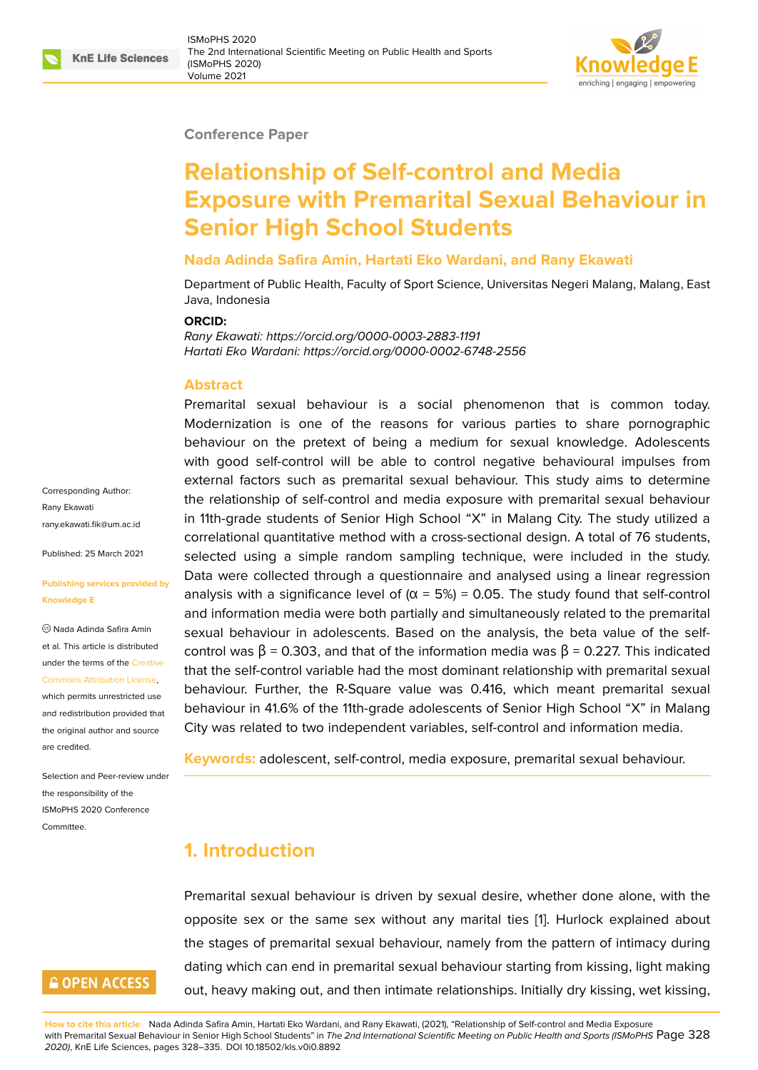#### **Conference Paper**

# **Relationship of Self-control and Media Exposure with Premarital Sexual Behaviour in Senior High School Students**

### **Nada Adinda Safira Amin, Hartati Eko Wardani, and Rany Ekawati**

Department of Public Health, Faculty of Sport Science, Universitas Negeri Malang, Malang, East Java, Indonesia

#### **ORCID:**

*Rany Ekawati: https://orcid.org/0000-0003-2883-1191 Hartati Eko Wardani: https://orcid.org/0000-0002-6748-2556*

#### **Abstract**

Premarital sexual behaviour is a social phenomenon that is common today. Modernization is one of the reasons for various parties to share pornographic behaviour on the pretext of being a medium for sexual knowledge. Adolescents with good self-control will be able to control negative behavioural impulses from external factors such as premarital sexual behaviour. This study aims to determine the relationship of self-control and media exposure with premarital sexual behaviour in 11th-grade students of Senior High School "X" in Malang City. The study utilized a correlational quantitative method with a cross-sectional design. A total of 76 students, selected using a simple random sampling technique, were included in the study. Data were collected through a questionnaire and analysed using a linear regression analysis with a significance level of ( $\alpha$  = 5%) = 0.05. The study found that self-control and information media were both partially and simultaneously related to the premarital sexual behaviour in adolescents. Based on the analysis, the beta value of the selfcontrol was  $β = 0.303$ , and that of the information media was  $β = 0.227$ . This indicated that the self-control variable had the most dominant relationship with premarital sexual behaviour. Further, the R-Square value was 0.416, which meant premarital sexual behaviour in 41.6% of the 11th-grade adolescents of Senior High School "X" in Malang City was related to two independent variables, self-control and information media.

**Keywords:** adolescent, self-control, media exposure, premarital sexual behaviour.

## **1. Introduction**

Premarital sexual behaviour is driven by sexual desire, whether done alone, with the opposite sex or the same sex without any marital ties [1]. Hurlock explained about the stages of premarital sexual behaviour, namely from the pattern of intimacy during dating which can end in premarital sexual behaviour starting from kissing, light making out, heavy making out, and then intimate relationships. Ini[tia](#page-6-0)lly dry kissing, wet kissing,

Corresponding Author: Rany Ekawati rany.ekawati.fik@um.ac.id

Published: 25 March 2021

#### **[Publishing services provi](mailto:rany.ekawati.fik@um.ac.id)ded by Knowledge E**

Nada Adinda Safira Amin et al. This article is distributed under the terms of the Creative Commons Attribution License,

which permits unrestricted use and redistribution provided that the original author and [source](https://creativecommons.org/licenses/by/4.0/) [are credited.](https://creativecommons.org/licenses/by/4.0/)

Selection and Peer-review under the responsibility of the ISMoPHS 2020 Conference Committee.

# **GOPEN ACCESS**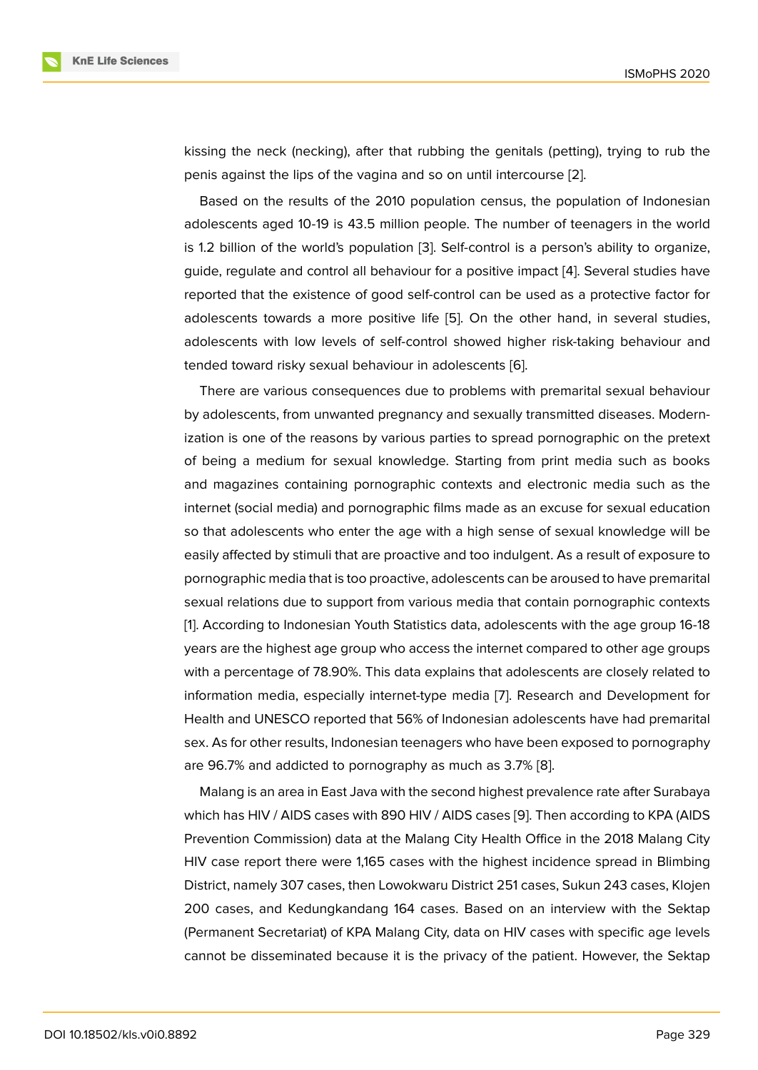kissing the neck (necking), after that rubbing the genitals (petting), trying to rub the penis against the lips of the vagina and so on until intercourse [2].

Based on the results of the 2010 population census, the population of Indonesian adolescents aged 10-19 is 43.5 million people. The number of teenagers in the world is 1.2 billion of the world's population [3]. Self-control is a pers[on](#page-6-1)'s ability to organize, guide, regulate and control all behaviour for a positive impact [4]. Several studies have reported that the existence of good self-control can be used as a protective factor for adolescents towards a more positive [lif](#page-6-2)e [5]. On the other hand, in several studies, adolescents with low levels of self-control showed higher ri[sk-](#page-6-3)taking behaviour and tended toward risky sexual behaviour in adolescents [6].

There are various consequences due to [p](#page-6-4)roblems with premarital sexual behaviour by adolescents, from unwanted pregnancy and sexually transmitted diseases. Modernization is one of the reasons by various parties to spr[ea](#page-6-5)d pornographic on the pretext of being a medium for sexual knowledge. Starting from print media such as books and magazines containing pornographic contexts and electronic media such as the internet (social media) and pornographic films made as an excuse for sexual education so that adolescents who enter the age with a high sense of sexual knowledge will be easily affected by stimuli that are proactive and too indulgent. As a result of exposure to pornographic media that is too proactive, adolescents can be aroused to have premarital sexual relations due to support from various media that contain pornographic contexts [1]. According to Indonesian Youth Statistics data, adolescents with the age group 16-18 years are the highest age group who access the internet compared to other age groups with a percentage of 78.90%. This data explains that adolescents are closely related to i[n](#page-6-0)formation media, especially internet-type media [7]. Research and Development for Health and UNESCO reported that 56% of Indonesian adolescents have had premarital sex. As for other results, Indonesian teenagers who have been exposed to pornography are 96.7% and addicted to pornography as much a[s 3](#page-6-6).7% [8].

Malang is an area in East Java with the second highest prevalence rate after Surabaya which has HIV / AIDS cases with 890 HIV / AIDS cases [9]. Then according to KPA (AIDS Prevention Commission) data at the Malang City Health Of[fic](#page-6-7)e in the 2018 Malang City HIV case report there were 1,165 cases with the highest incidence spread in Blimbing District, namely 307 cases, then Lowokwaru District 25[1 c](#page-6-8)ases, Sukun 243 cases, Klojen 200 cases, and Kedungkandang 164 cases. Based on an interview with the Sektap (Permanent Secretariat) of KPA Malang City, data on HIV cases with specific age levels cannot be disseminated because it is the privacy of the patient. However, the Sektap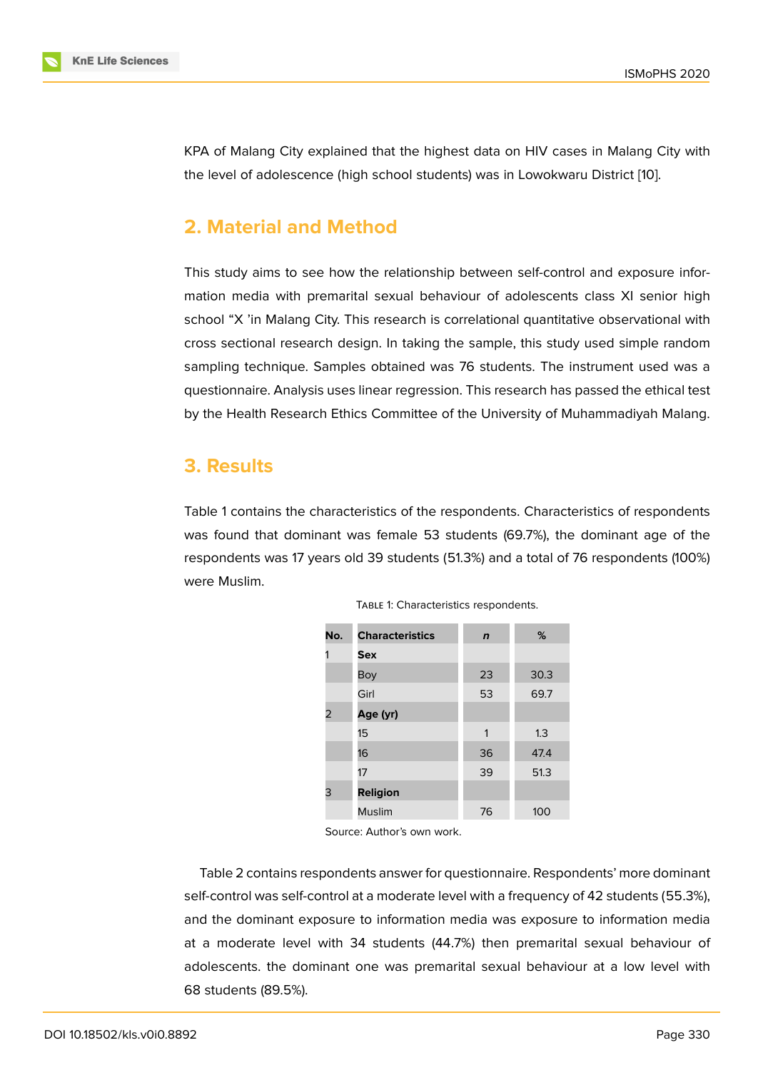KPA of Malang City explained that the highest data on HIV cases in Malang City with the level of adolescence (high school students) was in Lowokwaru District [10].

# **2. Material and Method**

This study aims to see how the relationship between self-control and exposure information media with premarital sexual behaviour of adolescents class XI senior high school "X 'in Malang City. This research is correlational quantitative observational with cross sectional research design. In taking the sample, this study used simple random sampling technique. Samples obtained was 76 students. The instrument used was a questionnaire. Analysis uses linear regression. This research has passed the ethical test by the Health Research Ethics Committee of the University of Muhammadiyah Malang.

## **3. Results**

Table 1 contains the characteristics of the respondents. Characteristics of respondents was found that dominant was female 53 students (69.7%), the dominant age of the respondents was 17 years old 39 students (51.3%) and a total of 76 respondents (100%) were Muslim.

| No. | <b>Characteristics</b> | $\mathbf n$ | %    |
|-----|------------------------|-------------|------|
|     | <b>Sex</b>             |             |      |
|     | Boy                    | 23          | 30.3 |
|     | Girl                   | 53          | 69.7 |
| 2   | Age (yr)               |             |      |
|     | 15                     | 1           | 1.3  |
|     | 16                     | 36          | 47.4 |
|     | 17                     | 39          | 51.3 |
| 3   | <b>Religion</b>        |             |      |
|     | <b>Muslim</b>          | 76          | 100  |

TABLE 1: Characteristics respondents.

Source: Author's own work.

Table 2 contains respondents answer for questionnaire. Respondents' more dominant self-control was self-control at a moderate level with a frequency of 42 students (55.3%), and the dominant exposure to information media was exposure to information media at a moderate level with 34 students (44.7%) then premarital sexual behaviour of adolescents. the dominant one was premarital sexual behaviour at a low level with 68 students (89.5%).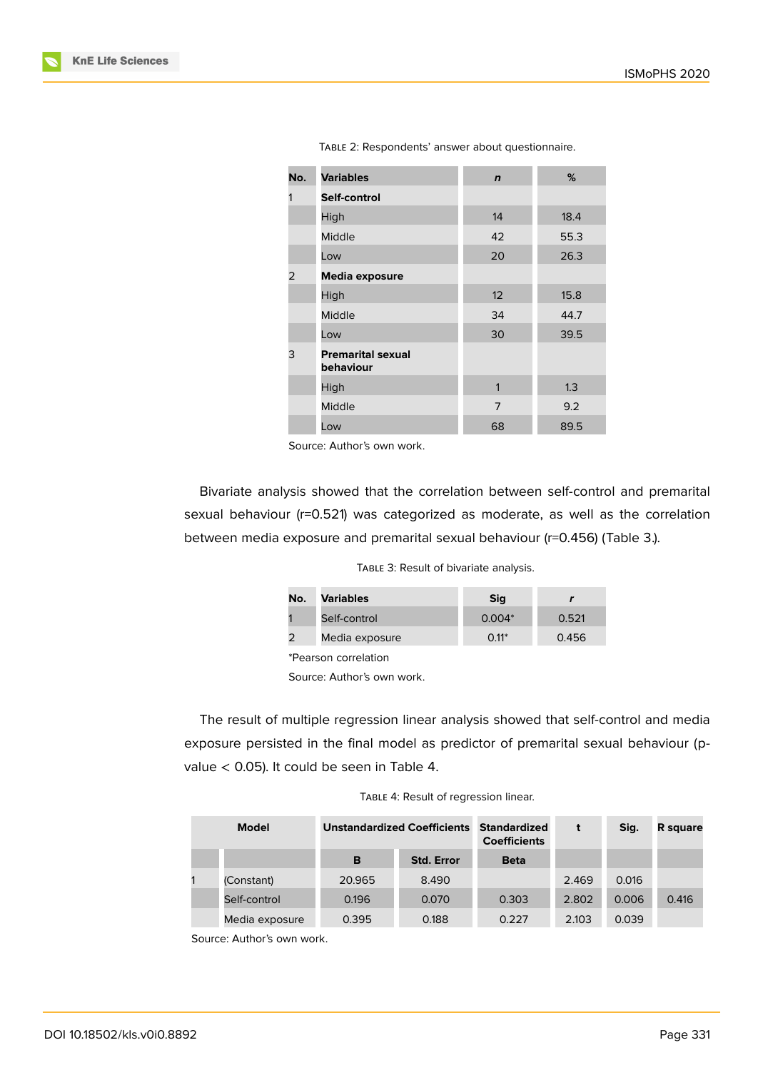

TABLE 2: Respondents' answer about questionnaire.

Source: Author's own work.

Bivariate analysis showed that the correlation between self-control and premarital sexual behaviour (r=0.521) was categorized as moderate, as well as the correlation between media exposure and premarital sexual behaviour (r=0.456) (Table 3.).

|  |  |  |  | TABLE 3: Result of bivariate analysis. |  |
|--|--|--|--|----------------------------------------|--|
|--|--|--|--|----------------------------------------|--|

| No.                        | <b>Variables</b> | <b>Sig</b> |       |  |
|----------------------------|------------------|------------|-------|--|
|                            | Self-control     | $0.004*$   | 0.521 |  |
| 2                          | Media exposure   | $0.11*$    | 0.456 |  |
| *Pearson correlation       |                  |            |       |  |
| Source: Author's own work. |                  |            |       |  |

The result of multiple regression linear analysis showed that self-control and media exposure persisted in the final model as predictor of premarital sexual behaviour (pvalue < 0.05). It could be seen in Table 4.

TABLE 4: Result of regression linear.

| <b>Model</b> |                | <b>Unstandardized Coefficients</b> |                   | <b>Standardized</b><br><b>Coefficients</b> | t     | Sig.  | <b>R</b> square |
|--------------|----------------|------------------------------------|-------------------|--------------------------------------------|-------|-------|-----------------|
|              |                | в                                  | <b>Std. Error</b> | <b>Beta</b>                                |       |       |                 |
|              | (Constant)     | 20.965                             | 8.490             |                                            | 2.469 | 0.016 |                 |
|              | Self-control   | 0.196                              | 0.070             | 0.303                                      | 2.802 | 0.006 | 0.416           |
|              | Media exposure | 0.395                              | 0.188             | 0.227                                      | 2.103 | 0.039 |                 |

Source: Author's own work.

DOI 10.18502/kls.v0i0.8892 Page 331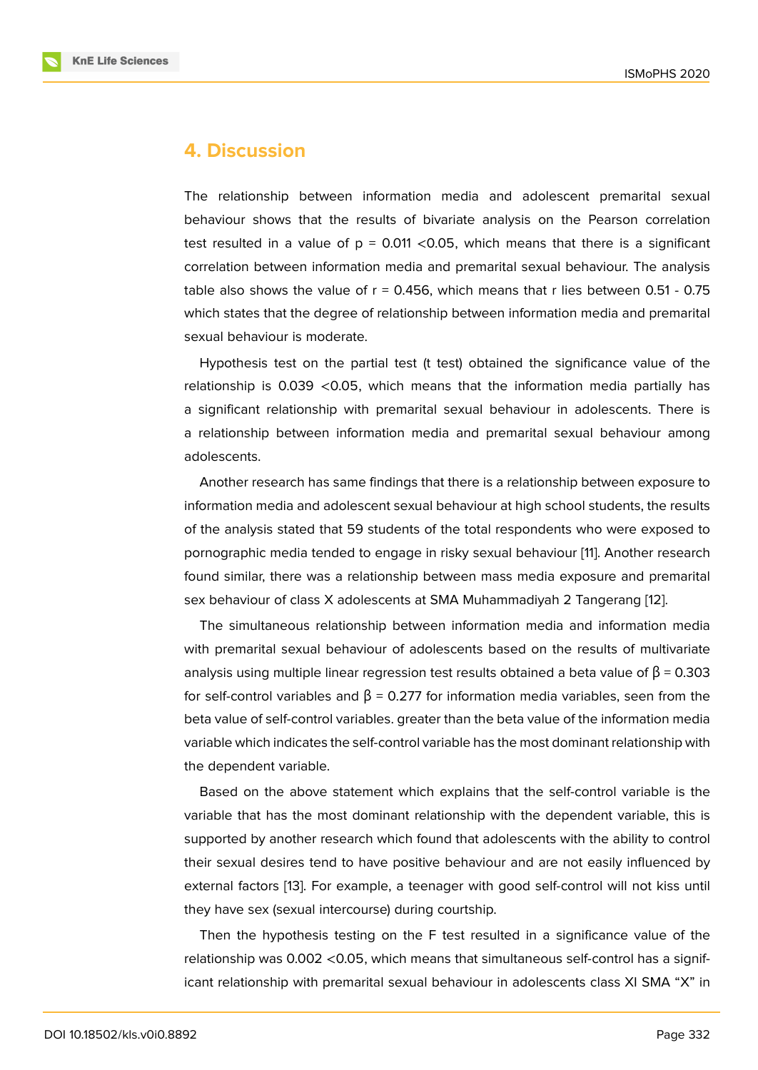### **4. Discussion**

The relationship between information media and adolescent premarital sexual behaviour shows that the results of bivariate analysis on the Pearson correlation test resulted in a value of  $p = 0.011$  <0.05, which means that there is a significant correlation between information media and premarital sexual behaviour. The analysis table also shows the value of  $r = 0.456$ , which means that r lies between 0.51 - 0.75 which states that the degree of relationship between information media and premarital sexual behaviour is moderate.

Hypothesis test on the partial test (t test) obtained the significance value of the relationship is 0.039 <0.05, which means that the information media partially has a significant relationship with premarital sexual behaviour in adolescents. There is a relationship between information media and premarital sexual behaviour among adolescents.

Another research has same findings that there is a relationship between exposure to information media and adolescent sexual behaviour at high school students, the results of the analysis stated that 59 students of the total respondents who were exposed to pornographic media tended to engage in risky sexual behaviour [11]. Another research found similar, there was a relationship between mass media exposure and premarital sex behaviour of class X adolescents at SMA Muhammadiyah 2 Tangerang [12].

The simultaneous relationship between information media a[nd](#page-6-9) information media with premarital sexual behaviour of adolescents based on the results of multivariate analysis using multiple linear regression test results obtained a beta value of  $β = 0.303$ for self-control variables and  $β = 0.277$  for information media variables, seen from the beta value of self-control variables. greater than the beta value of the information media variable which indicates the self-control variable has the most dominant relationship with the dependent variable.

Based on the above statement which explains that the self-control variable is the variable that has the most dominant relationship with the dependent variable, this is supported by another research which found that adolescents with the ability to control their sexual desires tend to have positive behaviour and are not easily influenced by external factors [13]. For example, a teenager with good self-control will not kiss until they have sex (sexual intercourse) during courtship.

Then the hypothesis testing on the F test resulted in a significance value of the relationship was [0.0](#page-7-0)02 <0.05, which means that simultaneous self-control has a significant relationship with premarital sexual behaviour in adolescents class XI SMA "X" in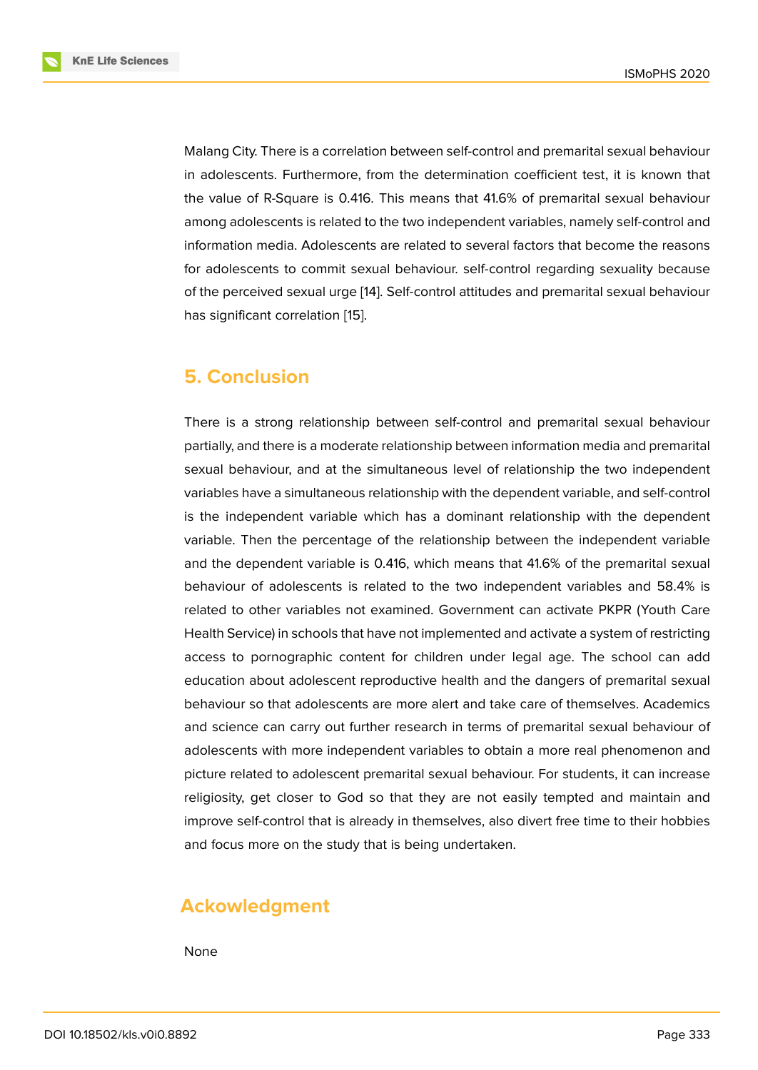Malang City. There is a correlation between self-control and premarital sexual behaviour in adolescents. Furthermore, from the determination coefficient test, it is known that the value of R-Square is 0.416. This means that 41.6% of premarital sexual behaviour among adolescents is related to the two independent variables, namely self-control and information media. Adolescents are related to several factors that become the reasons for adolescents to commit sexual behaviour. self-control regarding sexuality because of the perceived sexual urge [14]. Self-control attitudes and premarital sexual behaviour has significant correlation [15].

# **5. Conclusion**

There is a strong relationship between self-control and premarital sexual behaviour partially, and there is a moderate relationship between information media and premarital sexual behaviour, and at the simultaneous level of relationship the two independent variables have a simultaneous relationship with the dependent variable, and self-control is the independent variable which has a dominant relationship with the dependent variable. Then the percentage of the relationship between the independent variable and the dependent variable is 0.416, which means that 41.6% of the premarital sexual behaviour of adolescents is related to the two independent variables and 58.4% is related to other variables not examined. Government can activate PKPR (Youth Care Health Service) in schools that have not implemented and activate a system of restricting access to pornographic content for children under legal age. The school can add education about adolescent reproductive health and the dangers of premarital sexual behaviour so that adolescents are more alert and take care of themselves. Academics and science can carry out further research in terms of premarital sexual behaviour of adolescents with more independent variables to obtain a more real phenomenon and picture related to adolescent premarital sexual behaviour. For students, it can increase religiosity, get closer to God so that they are not easily tempted and maintain and improve self-control that is already in themselves, also divert free time to their hobbies and focus more on the study that is being undertaken.

# **Ackowledgment**

None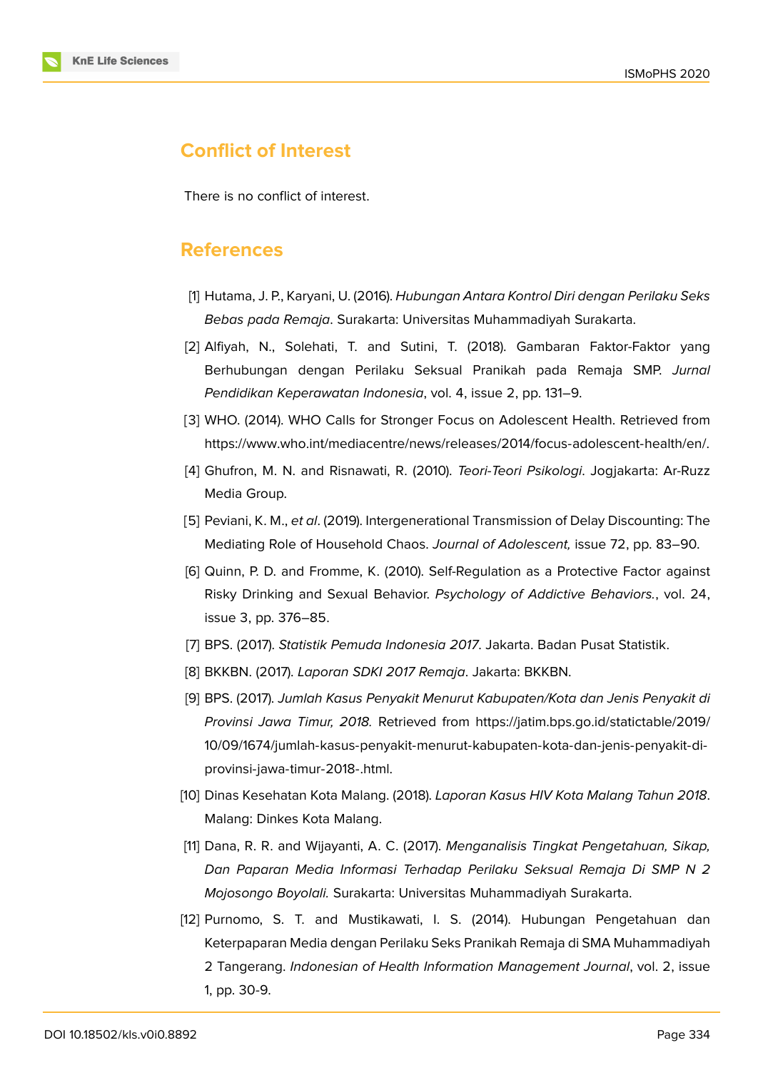### **Conflict of Interest**

There is no conflict of interest.

### **References**

- [1] Hutama, J. P., Karyani, U. (2016). *Hubungan Antara Kontrol Diri dengan Perilaku Seks Bebas pada Remaja*. Surakarta: Universitas Muhammadiyah Surakarta.
- <span id="page-6-0"></span>[2] Alfiyah, N., Solehati, T. and Sutini, T. (2018). Gambaran Faktor-Faktor yang Berhubungan dengan Perilaku Seksual Pranikah pada Remaja SMP. *Jurnal Pendidikan Keperawatan Indonesia*, vol. 4, issue 2, pp. 131–9.
- <span id="page-6-1"></span>[3] WHO. (2014). WHO Calls for Stronger Focus on Adolescent Health. Retrieved from https://www.who.int/mediacentre/news/releases/2014/focus-adolescent-health/en/.
- <span id="page-6-2"></span>[4] Ghufron, M. N. and Risnawati, R. (2010). *Teori-Teori Psikologi*. Jogjakarta: Ar-Ruzz [Media Group.](https://www.who.int/mediacentre/news/releases/2014/focus-adolescent-health/en/.)
- <span id="page-6-3"></span>[5] Peviani, K. M., *et al*. (2019). Intergenerational Transmission of Delay Discounting: The Mediating Role of Household Chaos. *Journal of Adolescent,* issue 72, pp. 83–90.
- <span id="page-6-4"></span>[6] Quinn, P. D. and Fromme, K. (2010). Self-Regulation as a Protective Factor against Risky Drinking and Sexual Behavior. *Psychology of Addictive Behaviors.*, vol. 24, issue 3, pp. 376–85.
- <span id="page-6-5"></span>[7] BPS. (2017). *Statistik Pemuda Indonesia 2017*. Jakarta. Badan Pusat Statistik.
- [8] BKKBN. (2017). *Laporan SDKI 2017 Remaja*. Jakarta: BKKBN.
- <span id="page-6-7"></span><span id="page-6-6"></span>[9] BPS. (2017). *Jumlah Kasus Penyakit Menurut Kabupaten/Kota dan Jenis Penyakit di Provinsi Jawa Timur, 2018.* Retrieved from https://jatim.bps.go.id/statictable/2019/ 10/09/1674/jumlah-kasus-penyakit-menurut-kabupaten-kota-dan-jenis-penyakit-diprovinsi-jawa-timur-2018-.html.
- <span id="page-6-8"></span>[10] Dinas Kesehatan Kota Malang. (2018). *Lapor[an Kasus HIV Kota Malang Tahun 2018](https://jatim.bps.go.id/statictable/2019/10/09/1674/jumlah-kasus-penyakit-menurut-kabupaten-kota-dan-jenis-penyakit-di-provinsi-jawa-timur-2018-.html)*. [Malang: Dinkes Kota Malang.](https://jatim.bps.go.id/statictable/2019/10/09/1674/jumlah-kasus-penyakit-menurut-kabupaten-kota-dan-jenis-penyakit-di-provinsi-jawa-timur-2018-.html)
- [11] Dana, R. R. and Wijayanti, A. C. (2017). *Menganalisis Tingkat Pengetahuan, Sikap, Dan Paparan Media Informasi Terhadap Perilaku Seksual Remaja Di SMP N 2 Mojosongo Boyolali.* Surakarta: Universitas Muhammadiyah Surakarta.
- <span id="page-6-10"></span><span id="page-6-9"></span>[12] Purnomo, S. T. and Mustikawati, I. S. (2014). Hubungan Pengetahuan dan Keterpaparan Media dengan Perilaku Seks Pranikah Remaja di SMA Muhammadiyah 2 Tangerang. *Indonesian of Health Information Management Journal*, vol. 2, issue 1, pp. 30-9.